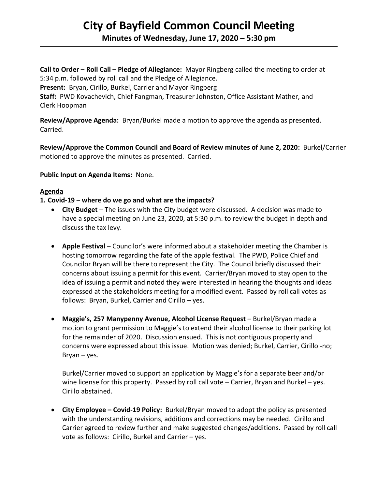# **City of Bayfield Common Council Meeting**

**Minutes of Wednesday, June 17, 2020 – 5:30 pm** 

**Call to Order – Roll Call – Pledge of Allegiance:** Mayor Ringberg called the meeting to order at 5:34 p.m. followed by roll call and the Pledge of Allegiance. **Present:** Bryan, Cirillo, Burkel, Carrier and Mayor Ringberg **Staff:** PWD Kovachevich, Chief Fangman, Treasurer Johnston, Office Assistant Mather, and Clerk Hoopman

**Review/Approve Agenda:** Bryan/Burkel made a motion to approve the agenda as presented. Carried.

**Review/Approve the Common Council and Board of Review minutes of June 2, 2020:** Burkel/Carrier motioned to approve the minutes as presented. Carried.

**Public Input on Agenda Items:** None.

# **Agenda**

# **1. Covid-19** – **where do we go and what are the impacts?**

- **City Budget** The issues with the City budget were discussed. A decision was made to have a special meeting on June 23, 2020, at 5:30 p.m. to review the budget in depth and discuss the tax levy.
- **Apple Festival** Councilor's were informed about a stakeholder meeting the Chamber is hosting tomorrow regarding the fate of the apple festival. The PWD, Police Chief and Councilor Bryan will be there to represent the City. The Council briefly discussed their concerns about issuing a permit for this event. Carrier/Bryan moved to stay open to the idea of issuing a permit and noted they were interested in hearing the thoughts and ideas expressed at the stakeholders meeting for a modified event. Passed by roll call votes as follows: Bryan, Burkel, Carrier and Cirillo – yes.
- **Maggie's, 257 Manypenny Avenue, Alcohol License Request** Burkel/Bryan made a motion to grant permission to Maggie's to extend their alcohol license to their parking lot for the remainder of 2020. Discussion ensued. This is not contiguous property and concerns were expressed about this issue. Motion was denied; Burkel, Carrier, Cirillo -no; Bryan – yes.

Burkel/Carrier moved to support an application by Maggie's for a separate beer and/or wine license for this property. Passed by roll call vote – Carrier, Bryan and Burkel – yes. Cirillo abstained.

• **City Employee – Covid-19 Policy:** Burkel/Bryan moved to adopt the policy as presented with the understanding revisions, additions and corrections may be needed. Cirillo and Carrier agreed to review further and make suggested changes/additions. Passed by roll call vote as follows: Cirillo, Burkel and Carrier – yes.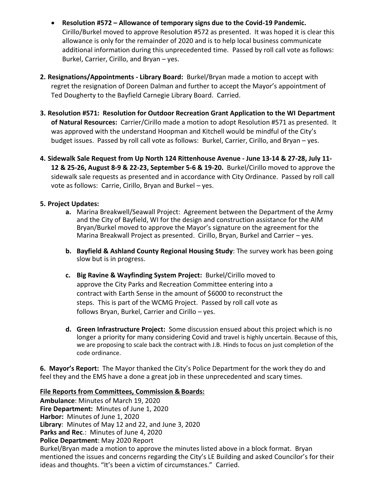- **Resolution #572 – Allowance of temporary signs due to the Covid-19 Pandemic.** Cirillo/Burkel moved to approve Resolution #572 as presented. It was hoped it is clear this allowance is only for the remainder of 2020 and is to help local business communicate additional information during this unprecedented time. Passed by roll call vote as follows: Burkel, Carrier, Cirillo, and Bryan – yes.
- **2. Resignations/Appointments - Library Board:** Burkel/Bryan made a motion to accept with regret the resignation of Doreen Dalman and further to accept the Mayor's appointment of Ted Dougherty to the Bayfield Carnegie Library Board. Carried.
- **3. Resolution #571: Resolution for Outdoor Recreation Grant Application to the WI Department of Natural Resources:** Carrier/Cirillo made a motion to adopt Resolution #571 as presented. It was approved with the understand Hoopman and Kitchell would be mindful of the City's budget issues. Passed by roll call vote as follows: Burkel, Carrier, Cirillo, and Bryan – yes.
- **4. Sidewalk Sale Request from Up North 124 Rittenhouse Avenue - June 13-14 & 27-28, July 11- 12 & 25-26, August 8-9 & 22-23, September 5-6 & 19-20.** Burkel/Cirillo moved to approve the sidewalk sale requests as presented and in accordance with City Ordinance. Passed by roll call vote as follows: Carrie, Cirillo, Bryan and Burkel – yes.

# **5. Project Updates:**

- **a.** Marina Breakwell/Seawall Project: Agreement between the Department of the Army and the City of Bayfield, WI for the design and construction assistance for the AIM Bryan/Burkel moved to approve the Mayor's signature on the agreement for the Marina Breakwall Project as presented. Cirillo, Bryan, Burkel and Carrier – yes.
- **b. Bayfield & Ashland County Regional Housing Study**: The survey work has been going slow but is in progress.
- **c. Big Ravine & Wayfinding System Project:** Burkel/Cirillo moved to approve the City Parks and Recreation Committee entering into a contract with Earth Sense in the amount of \$6000 to reconstruct the steps. This is part of the WCMG Project. Passed by roll call vote as follows Bryan, Burkel, Carrier and Cirillo – yes.
- **d. Green Infrastructure Project:** Some discussion ensued about this project which is no longer a priority for many considering Covid and travel is highly uncertain. Because of this, we are proposing to scale back the contract with J.B. Hinds to focus on just completion of the code ordinance.

**6. Mayor's Report:** The Mayor thanked the City's Police Department for the work they do and feel they and the EMS have a done a great job in these unprecedented and scary times.

#### **File Reports from Committees, Commission & Boards:**

**Ambulance**: Minutes of March 19, 2020 **Fire Department:** Minutes of June 1, 2020 **Harbor:** Minutes of June 1, 2020 **Library**: Minutes of May 12 and 22, and June 3, 2020 **Parks and Rec**.: Minutes of June 4, 2020 **Police Department**: May 2020 Report Burkel/Bryan made a motion to approve the minutes listed above in a block format. Bryan mentioned the issues and concerns regarding the City's LE Building and asked Councilor's for their ideas and thoughts. "It's been a victim of circumstances." Carried.